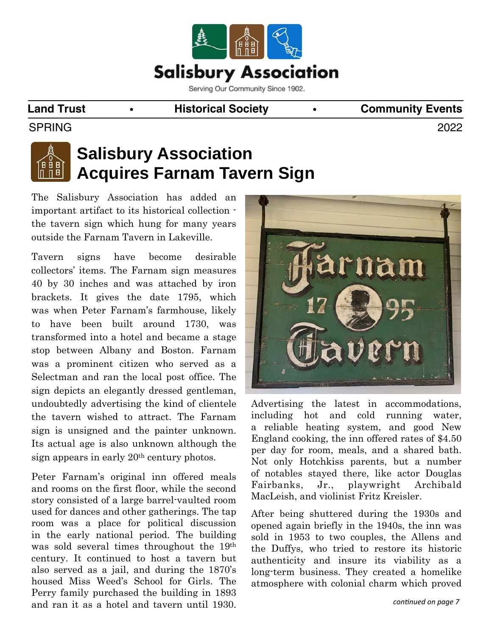

#### **Land Trust • Historical Society •** Community Events

SPRING 2022



# **Salisbury Association Acquires Farnam Tavern Sign**

The Salisbury Association has added an important artifact to its historical collection the tavern sign which hung for many years outside the Farnam Tavern in Lakeville.

Tavern signs have become desirable collectors' items. The Farnam sign measures 40 by 30 inches and was attached by iron brackets. It gives the date 1795, which was when Peter Farnam's farmhouse, likely to have been built around 1730, was transformed into a hotel and became a stage stop between Albany and Boston. Farnam was a prominent citizen who served as a Selectman and ran the local post office. The sign depicts an elegantly dressed gentleman, undoubtedly advertising the kind of clientele the tavern wished to attract. The Farnam sign is unsigned and the painter unknown. Its actual age is also unknown although the sign appears in early 20th century photos.

Peter Farnam's original inn offered meals and rooms on the first floor, while the second story consisted of a large barrel-vaulted room used for dances and other gatherings. The tap room was a place for political discussion in the early national period. The building was sold several times throughout the 19th century. It continued to host a tavern but also served as a jail, and during the 1870's housed Miss Weed's School for Girls. The Perry family purchased the building in 1893 and ran it as a hotel and tavern until 1930.



Advertising the latest in accommodations, including hot and cold running water, a reliable heating system, and good New England cooking, the inn offered rates of \$4.50 per day for room, meals, and a shared bath. Not only Hotchkiss parents, but a number of notables stayed there, like actor Douglas Fairbanks, Jr., playwright Archibald MacLeish, and violinist Fritz Kreisler.

After being shuttered during the 1930s and opened again briefly in the 1940s, the inn was sold in 1953 to two couples, the Allens and the Duffys, who tried to restore its historic authenticity and insure its viability as a long-term business. They created a homelike atmosphere with colonial charm which proved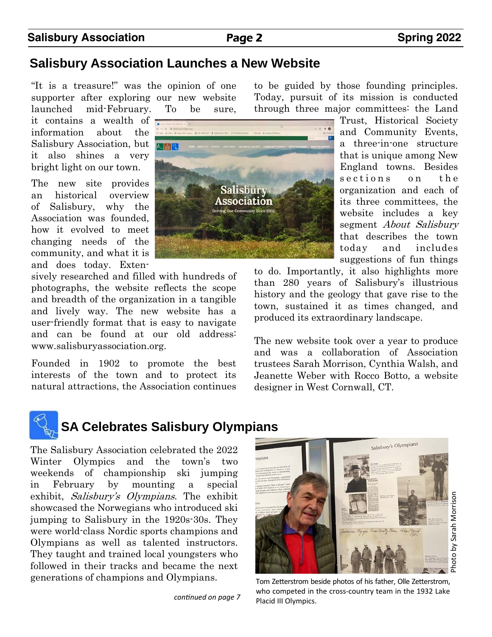*conƟnued on page 7* 

sively researched and filled with hundreds of photographs, the website reflects the scope and breadth of the organization in a tangible and lively way. The new website has a user-friendly format that is easy to navigate and can be found at our old address: www.salisburyassociation.org.

Founded in 1902 to promote the best interests of the town and to protect its natural attractions, the Association continues to be guided by those founding principles. Today, pursuit of its mission is conducted through three major committees: the Land

> Trust, Historical Society and Community Events, a three-in-one structure that is unique among New England towns. Besides sections on the organization and each of its three committees, the website includes a key segment About Salisbury that describes the town today and includes suggestions of fun things

to do. Importantly, it also highlights more than 280 years of Salisbury's illustrious history and the geology that gave rise to the town, sustained it as times changed, and produced its extraordinary landscape.

The new website took over a year to produce and was a collaboration of Association trustees Sarah Morrison, Cynthia Walsh, and Jeanette Weber with Rocco Botto, a website designer in West Cornwall, CT.

# **Salisbury Association Page 2** Spring 2022



"It is a treasure!" was the opinion of one supporter after exploring our new website launched mid-February. To be sure,

it contains a wealth of information about the Salisbury Association, but it also shines a very bright light on our town.

The new site provides an historical overview of Salisbury, why the Association was founded, how it evolved to meet changing needs of the community, and what it is and does today. Exten-

**SA Celebrates Salisbury Olympians** 

The Salisbury Association celebrated the 2022 Winter Olympics and the town's two weekends of championship ski jumping in February by mounting a special exhibit, Salisbury's Olympians. The exhibit showcased the Norwegians who introduced ski jumping to Salisbury in the 1920s-30s. They were world-class Nordic sports champions and Olympians as well as talented instructors. They taught and trained local youngsters who followed in their tracks and became the next generations of champions and Olympians.

Tom Zetterstrom beside photos of his father, Olle Zetterstrom, who competed in the cross-country team in the 1932 Lake Placid III Olympics.



# 人面包

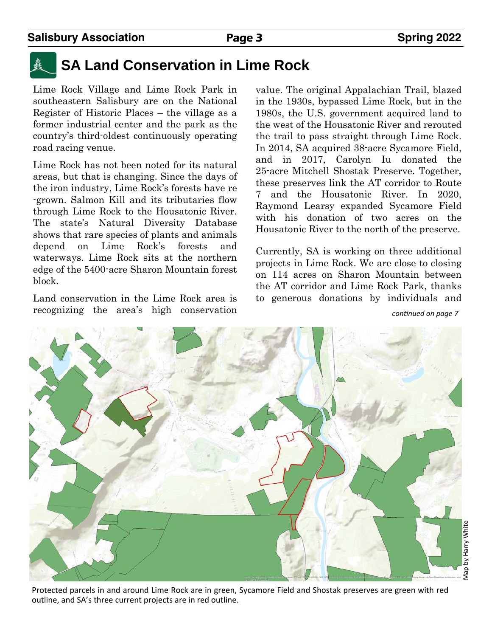

# **SA Land Conservation in Lime Rock**

Lime Rock Village and Lime Rock Park in southeastern Salisbury are on the National Register of Historic Places – the village as a former industrial center and the park as the country's third-oldest continuously operating road racing venue.

Lime Rock has not been noted for its natural areas, but that is changing. Since the days of the iron industry, Lime Rock's forests have re -grown. Salmon Kill and its tributaries flow through Lime Rock to the Housatonic River. The state's Natural Diversity Database shows that rare species of plants and animals depend on Lime Rock's forests and waterways. Lime Rock sits at the northern edge of the 5400-acre Sharon Mountain forest block.

Land conservation in the Lime Rock area is recognizing the area's high conservation value. The original Appalachian Trail, blazed in the 1930s, bypassed Lime Rock, but in the 1980s, the U.S. government acquired land to the west of the Housatonic River and rerouted the trail to pass straight through Lime Rock. In 2014, SA acquired 38-acre Sycamore Field, and in 2017, Carolyn Iu donated the 25-acre Mitchell Shostak Preserve. Together, these preserves link the AT corridor to Route 7 and the Housatonic River. In 2020, Raymond Learsy expanded Sycamore Field with his donation of two acres on the Housatonic River to the north of the preserve.

Currently, SA is working on three additional projects in Lime Rock. We are close to closing on 114 acres on Sharon Mountain between the AT corridor and Lime Rock Park, thanks to generous donations by individuals and

*conƟnued on page 7* 

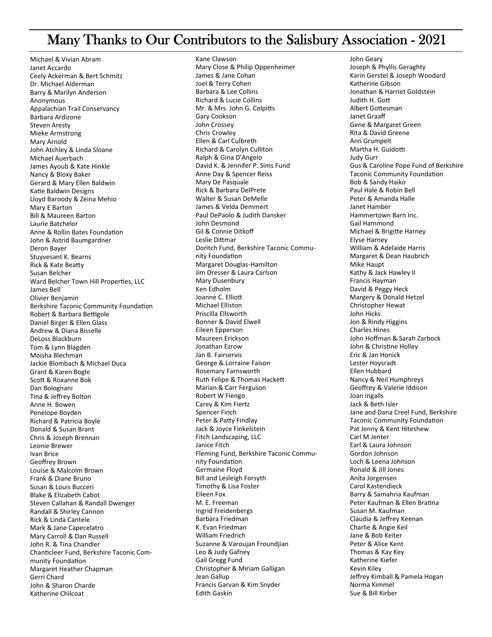## Many Thanks to Our Contributors to the Salisbury Association - 2021

Michael & Vivian Abram Janet Accardo Ceely Ackerman & Bert Schmitz Dr. Michael Alderman Barry & Marilyn Anderson Anonymous Appalachian Trail Conservancy Barbara Ardizone **Steven Aresty** Mieke Armstrong Mary Arnold John Atchley & Linda Sloane Michael Auerbach James Ayoub & Kate Hinkle Nancy & Bloxy Baker Gerard & Mary Ellen Baldwin Katie Baldwin Designs Lloyd Baroody & Zeina Mehio Mary E Barton **Bill & Maureen Barton** Laurie Batchelor Anne & Rollin Bates Foundation John & Astrid Baumgardner Deron Bayer Stuyvesant K. Bearns Rick & Kate Beatty Susan Belcher Ward Belcher Town Hill Properties, LLC James Bell Olivier Benjamin **Berkshire Taconic Community Foundation** Robert & Barbara Bettigole Daniel Birger & Ellen Glass Andrew & Diana Bisselle DeLoss Blackburn Tom & Lynn Blagden Moisha Blechman Jackie Blombach & Michael Duca Grant & Karen Bogle Scott & Roxanne Bok Dan Bolognani Tina & Jeffrey Bolton Anne H. Bowen Penelope Boyden Richard & Patricia Boyle Donald & Susan Brant Chris & Joseph Brennan Leonie Brewer Ivan Brice Geoffrey Brown Louise & Malcolm Brown Frank & Diane Bruno Susan & Louis Bucceri Blake & Elizabeth Cabot Steven Callahan & Randall Dwenger Randall & Shirley Cannon Rick & Linda Cantele Mark & Jane Capecelatro Mary Carroll & Dan Russell John R. & Tina Chandler Chanticleer Fund, Berkshire Taconic Community Foundation Margaret Heather Chapman Gerri Chard John & Sharon Charde Katherine Chilcoat

Kane Clawson Mary Close & Philip Oppenheimer James & Jane Cohan Joel & Terry Cohen Barbara & Lee Collins **Richard & Lucie Collins** Mr. & Mrs. John G. Colpitts Gary Cookson John Crossey **Chris Crowley** Ellen & Carl Culbreth Richard & Carolyn Culliton Ralph & Gina D'Angelo David K. & Jennifer P. Sims Fund Anne Day & Spencer Reiss Mary De Pasquale Rick & Barbara DelPrete Walter & Susan DeMelle James & Velda Demmert Paul DePaolo & Judith Dansker John Desmond Gil & Connie Ditkoff Leslie Dittmar Doritch Fund, Berkshire Taconic Community Foundation Margaret Douglas-Hamilton Jim Dresser & Laura Carlson Mary Dusenbury Ken Edholm Joanne C. Elliott Michael Elliston Priscilla Ellsworth Bonner & David Elwell Eileen Epperson Maureen Frickson Jonathan Ezrow Jan B. Fairservis George & Lorraine Faison Rosemary Farnsworth Ruth Felipe & Thomas Hackett Marian & Carr Ferguson Robert W Fiengo Carey & Kim Fiertz Spencer Finch Peter & Patty Findlay Jack & Joyce Finkelstein Fitch Landscaping, LLC Janice Fitch Fleming Fund, Berkshire Taconic Community Foundation Germaine Floyd **Bill and Lesleigh Forsyth** Timothy & Lisa Foster Eileen Fox M. E. Freeman Ingrid Freidenbergs Barbara Friedman K. Evan Friedman **William Friedrich** Suzanne & Varoujan Froundjian Leo & Judy Gafney Gail Gregg Fund Christopher & Miriam Galligan Jean Gallup Francis Garvan & Kim Snyder **Edith Gaskin** 

John Geary Joseph & Phyllis Geraghty Karin Gerstel & Joseph Woodard Katherine Gibson Jonathan & Harriet Goldstein Judith H. Gott Albert Gottesman Janet Graaff Gene & Margaret Green Rita & David Greene Ann Grumpelt Martha H. Guidotti **Judy Gurr** Gus & Caroline Pope Fund of Berkshire **Taconic Community Foundation** Bob & Sandy Haiko Paul Hale & Robin Bell Peter & Amanda Halle **Janet Hamber** Hammertown Barn Inc. **Gail Hammond** Michael & Brigitte Harney **Elyse Harney** William & Adelaide Harris Margaret & Dean Haubrich Mike Haupt Kathy & Jack Hawley II Francis Hayman David & Peggy Heck Margery & Donald Hetzel Christopher Hewat John Hicks Jon & Rindy Higgins **Charles Hines** John Hoffman & Sarah Zarbock John & Christine Holley Eric & Jan Honick Lester Hoysradt Ellen Hubbard Nancy & Neil Humphreys Geoffrey & Valerie Iddison Joan Ingalls Jack & Beth Isler Jane and Dana Creel Fund, Berkshire **Taconic Community Foundation** Pat Jenny & Kent Hiteshew Carl M Jenter Earl & Laura Johnson Gordon Johnson Loch & Leena Johnson Ronald & Jill Jones Anita Jorgensen Carol Kastendieck Barry & Samahria Kaufman Peter Kaufman & Ellen Bratina Susan M. Kaufman Claudia & Jeffrey Keenan Charlie & Angie Keil Jane & Bob Keiter Peter & Alice Kent Thomas & Kay Key Katherine Kiefer Kevin Kiley Jeffrey Kimball & Pamela Hogan Norma Kimmel Sue & Bill Kirber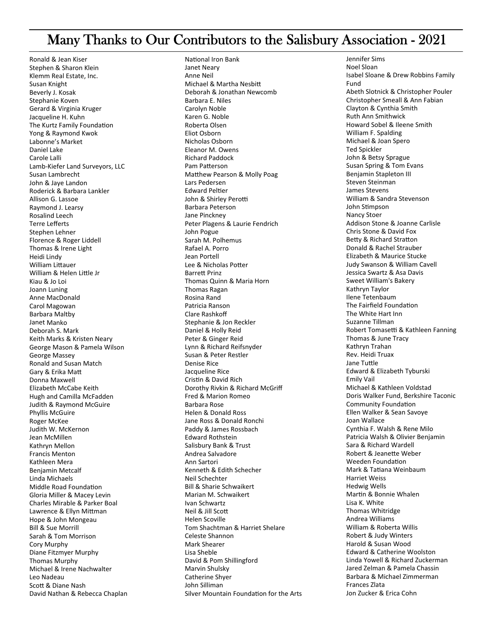## Many Thanks to Our Contributors to the Salisbury Association - 2021

Ronald & Jean Kiser Stephen & Sharon Klein Klemm Real Estate, Inc. Susan Knight Beverly J. Kosak Stephanie Koven Gerard & Virginia Kruger Jacqueline H. Kuhn The Kurtz Family Foundation Yong & Raymond Kwok Labonne's Market Daniel Lake Carole Lalli Lamb-Kiefer Land Surveyors, LLC Susan Lambrecht John & Jaye Landon Roderick & Barbara Lankler Allison G. Lassoe Raymond J. Learsy Rosalind Leech Terre Lefferts Stephen Lehner Florence & Roger Liddell Thomas & Irene Light Heidi Lindy William Littauer William & Helen Little Jr Kiau & Jo Loi Joann Luning Anne MacDonald Carol Magowan **Barbara Maltby** Janet Manko Deborah S. Mark Keith Marks & Kristen Neary George Mason & Pamela Wilson George Massey Ronald and Susan Match Gary & Erika Matt Donna Maxwell Elizabeth McCabe Keith Hugh and Camilla McFadden Judith & Raymond McGuire **Phyllis McGuire** Roger McKee Judith W. McKernon Jean McMillen Kathryn Mellon **Francis Menton** Kathleen Mera **Beniamin Metcalf** Linda Michaels Middle Road Foundation Gloria Miller & Macey Levin Charles Mirable & Parker Boal Lawrence & Ellyn Mittman Hope & John Mongeau **Bill & Sue Morrill** Sarah & Tom Morrison Cory Murphy Diane Fitzmyer Murphy **Thomas Murphy** Michael & Irene Nachwalter Leo Nadeau Scott & Diane Nash David Nathan & Rebecca Chaplan

National Iron Bank **Janet Neary** Anne Neil Michael & Martha Nesbitt Deborah & Jonathan Newcomb Barbara E. Niles Carolyn Noble Karen G. Noble Roberta Olsen Fliot Oshorn Nicholas Oshorn Eleanor M. Owens **Richard Paddock** Pam Patterson Matthew Pearson & Molly Poag Lars Pedersen **Edward Peltier** John & Shirley Perotti Barbara Peterson Jane Pinckney Peter Plagens & Laurie Fendrich John Pogue Sarah M. Polhemus Rafael A. Porro Jean Portell Lee & Nicholas Potter Rarrott Drinz Thomas Quinn & Maria Horn Thomas Ragan Rosina Rand Patricia Ranson **Clare Rashkoff** Stephanie & Jon Reckler Daniel & Holly Reid Peter & Ginger Reid Lynn & Richard Reifsnyder Susan & Peter Restler **Denise Rice** Jacqueline Rice Cristin & David Rich Dorothy Rivkin & Richard McGriff Fred & Marion Romeo **Barbara Rose** Helen & Donald Ross Jane Ross & Donald Ronchi Paddy & James Rossbach **Edward Rothstein** Salisbury Bank & Trust Andrea Salvadore Ann Sartori Kenneth & Edith Schecher Neil Schechter **Bill & Sharie Schwaikert** Marian M. Schwaikert Ivan Schwartz Neil & Jill Scott Helen Scoville Tom Shachtman & Harriet Shelare Celeste Shannon Mark Shearer Lisa Sheble David & Pom Shillingford Marvin Shulsky Catherine Shyer John Silliman Silver Mountain Foundation for the Arts Jennifer Sims Noel Sloan Isabel Sloane & Drew Robbins Family Fund Abeth Slotnick & Christopher Pouler Christopher Smeall & Ann Fabian Clayton & Cynthia Smith Ruth Ann Smithwick Howard Sobel & Ileene Smith William F. Spalding Michael & Joan Spero **Ted Spickler** John & Betsy Sprague Susan Spring & Tom Evans **Benjamin Stapleton III** Steven Steinman James Stevens William & Sandra Stevenson John Stimpson Nancy Stoer Addison Stone & Joanne Carlisle Chris Stone & David Fox Betty & Richard Stratton Donald & Rachel Strauber Elizabeth & Maurice Stucke Judy Swanson & William Cavell Jessica Swartz & Asa Davis Sweet William's Bakery Kathryn Taylor Ilene Tetenbaum The Fairfield Foundation The White Hart Inn Suzanne Tillman Robert Tomasetti & Kathleen Fanning Thomas & June Tracy Kathryn Trahan Rev. Heidi Truax Jane Tuttle Edward & Elizabeth Tyburski **Emily Vail** Michael & Kathleen Voldstad Doris Walker Fund, Berkshire Taconic **Community Foundation** Ellen Walker & Sean Savoye Joan Wallace Cynthia F. Walsh & Rene Milo Patricia Walsh & Olivier Benjamin Sara & Richard Wardell Robert & Jeanette Weber **Weeden Foundation** Mark & Tatiana Weinbaum **Harriet Weiss Hedwig Wells** Martin & Bonnie Whalen Lisa K. White Thomas Whitridge Andrea Williams William & Roberta Willis Robert & Judy Winters Harold & Susan Wood **Edward & Catherine Woolston** Linda Yowell & Richard Zuckerman Jared Zelman & Pamela Chassin Barbara & Michael Zimmerman Frances Zlata Jon Zucker & Erica Cohn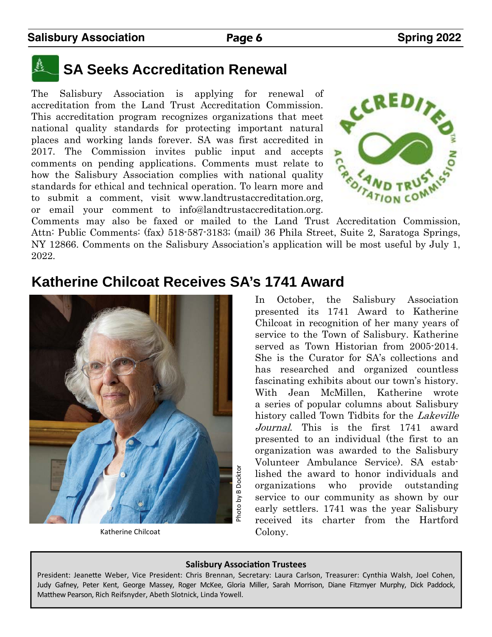# **SA Seeks Accreditation Renewal**

The Salisbury Association is applying for renewal of accreditation from the Land Trust Accreditation Commission. This accreditation program recognizes organizations that meet national quality standards for protecting important natural places and working lands forever. SA was first accredited in 2017. The Commission invites public input and accepts comments on pending applications. Comments must relate to how the Salisbury Association complies with national quality standards for ethical and technical operation. To learn more and to submit a comment, visit www.landtrustaccreditation.org, or email your comment to info@landtrustaccreditation.org. 2017. The set comments on pending applications. Comments<br>how the Salisbury Association complies with national quality<br>standards for ethical and technical operation. To learn more and<br>to submit a comment, visit www.landtru



Attn: Public Comments: (fax) 518-587-3183; (mail) 36 Phila Street, Suite 2, Saratoga Springs, NY 12866. Comments on the Salisbury Association's application will be most useful by July 1, 2022.

# **Katherine Chilcoat Receives SA's 1741 Award**



Katherine Chilcoat

In October, the Salisbury Association presented its 1741 Award to Katherine Chilcoat in recognition of her many years of service to the Town of Salisbury. Katherine served as Town Historian from 2005-2014. She is the Curator for SA's collections and has researched and organized countless fascinating exhibits about our town's history. With Jean McMillen, Katherine wrote a series of popular columns about Salisbury history called Town Tidbits for the *Lakeville* Journal. This is the first 1741 award presented to an individual (the first to an organization was awarded to the Salisbury Volunteer Ambulance Service). SA established the award to honor individuals and organizations who provide outstanding service to our community as shown by our early settlers. 1741 was the year Salisbury received its charter from the Hartford Colony.

#### **Salisbury AssociaƟon Trustees**

President: Jeanette Weber, Vice President: Chris Brennan, Secretary: Laura Carlson, Treasurer: Cynthia Walsh, Joel Cohen, Judy Gafney, Peter Kent, George Massey, Roger McKee, Gloria Miller, Sarah Morrison, Diane Fitzmyer Murphy, Dick Paddock, Matthew Pearson, Rich Reifsnyder, Abeth Slotnick, Linda Yowell.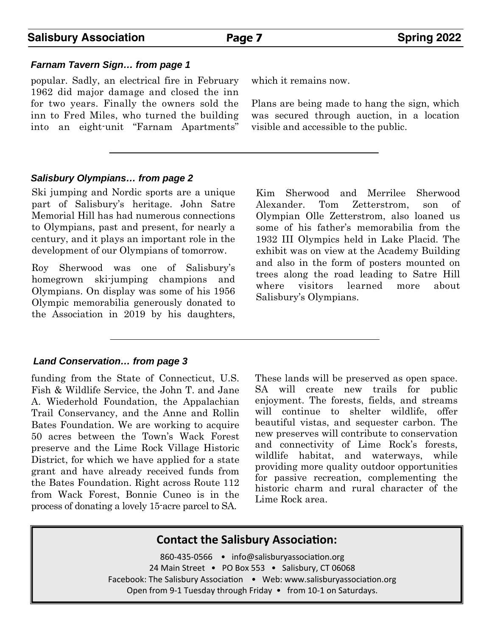### **Salisbury Association Page 7** Spring 2022

#### *Farnam Tavern Sign… from page 1*

popular. Sadly, an electrical fire in February 1962 did major damage and closed the inn for two years. Finally the owners sold the inn to Fred Miles, who turned the building into an eight-unit "Farnam Apartments"

which it remains now.

Plans are being made to hang the sign, which was secured through auction, in a location visible and accessible to the public.

#### *Salisbury Olympians… from page 2*

Ski jumping and Nordic sports are a unique part of Salisbury's heritage. John Satre Memorial Hill has had numerous connections to Olympians, past and present, for nearly a century, and it plays an important role in the development of our Olympians of tomorrow.

Roy Sherwood was one of Salisbury's homegrown ski-jumping champions and Olympians. On display was some of his 1956 Olympic memorabilia generously donated to the Association in 2019 by his daughters,

#### *Land Conservation… from page 3*

funding from the State of Connecticut, U.S. Fish & Wildlife Service, the John T. and Jane A. Wiederhold Foundation, the Appalachian Trail Conservancy, and the Anne and Rollin Bates Foundation. We are working to acquire 50 acres between the Town's Wack Forest preserve and the Lime Rock Village Historic District, for which we have applied for a state grant and have already received funds from the Bates Foundation. Right across Route 112 from Wack Forest, Bonnie Cuneo is in the process of donating a lovely 15-acre parcel to SA.

Kim Sherwood and Merrilee Sherwood Alexander. Tom Zetterstrom, son of Olympian Olle Zetterstrom, also loaned us some of his father's memorabilia from the 1932 III Olympics held in Lake Placid. The exhibit was on view at the Academy Building and also in the form of posters mounted on trees along the road leading to Satre Hill where visitors learned more about Salisbury's Olympians.

These lands will be preserved as open space. SA will create new trails for public enjoyment. The forests, fields, and streams will continue to shelter wildlife, offer beautiful vistas, and sequester carbon. The new preserves will contribute to conservation and connectivity of Lime Rock's forests, wildlife habitat, and waterways, while providing more quality outdoor opportunities for passive recreation, complementing the historic charm and rural character of the Lime Rock area.

#### **Contact the Salisbury Association:**

860-435-0566 · info@salisburyassociation.org 24 Main Street • PO Box 553 • Salisbury, CT 06068 Facebook: The Salisbury Association . Web: www.salisburyassociation.org Open from 9‐1 Tuesday through Friday • from 10‐1 on Saturdays.